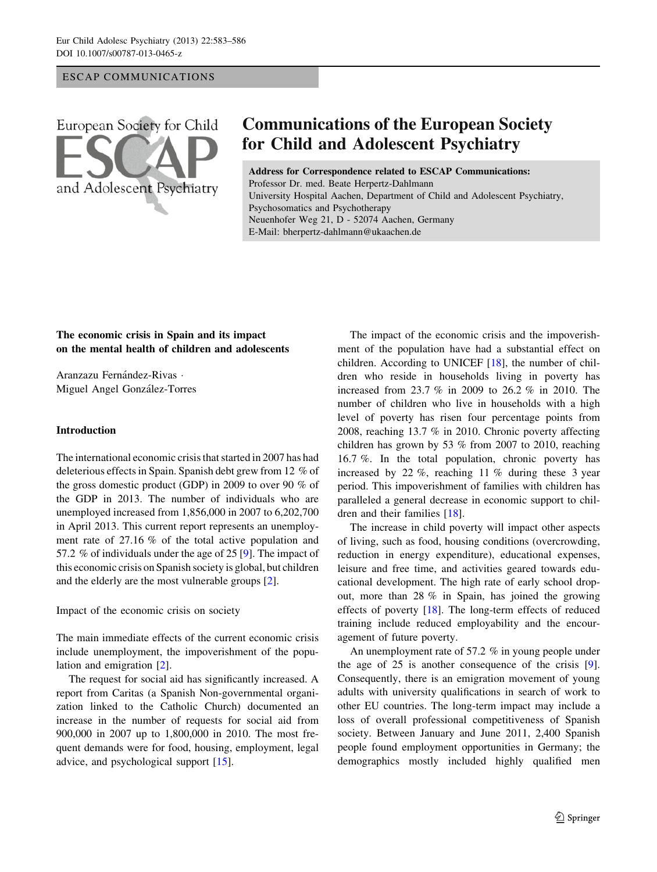## ESCAP COMMUNICATIONS



# **Communications of the European Society for Child and Adolescent Psychiatry**

Address for Correspondence related to ESCAP Communications: Professor Dr. med. Beate Herpertz-Dahlmann University Hospital Aachen, Department of Child and Adolescent Psychiatry, Psychosomatics and Psychotherapy Neuenhofer Weg 21, D - 52074 Aachen, Germany E-Mail: bherpertz-dahlmann@ukaachen.de

# The economic crisis in Spain and its impact on the mental health of children and adolescents

Aranzazu Fernández-Rivas -Miguel Angel González-Torres

#### Introduction

The international economic crisis that started in 2007 has had deleterious effects in Spain. Spanish debt grew from 12 % of the gross domestic product (GDP) in 2009 to over 90 % of the GDP in 2013. The number of individuals who are unemployed increased from 1,856,000 in 2007 to 6,202,700 in April 2013. This current report represents an unemployment rate of 27.16 % of the total active population and 57.2 % of individuals under the age of 25 [[9\]](#page-3-0). The impact of this economic crisis on Spanish society is global, but children and the elderly are the most vulnerable groups [\[2](#page-2-0)].

Impact of the economic crisis on society

The main immediate effects of the current economic crisis include unemployment, the impoverishment of the population and emigration [\[2](#page-2-0)].

The request for social aid has significantly increased. A report from Caritas (a Spanish Non-governmental organization linked to the Catholic Church) documented an increase in the number of requests for social aid from 900,000 in 2007 up to 1,800,000 in 2010. The most frequent demands were for food, housing, employment, legal advice, and psychological support [\[15](#page-3-0)].

The impact of the economic crisis and the impoverishment of the population have had a substantial effect on children. According to UNICEF [[18\]](#page-3-0), the number of children who reside in households living in poverty has increased from 23.7 % in 2009 to 26.2 % in 2010. The number of children who live in households with a high level of poverty has risen four percentage points from 2008, reaching 13.7 % in 2010. Chronic poverty affecting children has grown by 53 % from 2007 to 2010, reaching 16.7 %. In the total population, chronic poverty has increased by 22 %, reaching 11 % during these 3 year period. This impoverishment of families with children has paralleled a general decrease in economic support to children and their families [[18\]](#page-3-0).

The increase in child poverty will impact other aspects of living, such as food, housing conditions (overcrowding, reduction in energy expenditure), educational expenses, leisure and free time, and activities geared towards educational development. The high rate of early school dropout, more than 28 % in Spain, has joined the growing effects of poverty [[18\]](#page-3-0). The long-term effects of reduced training include reduced employability and the encouragement of future poverty.

An unemployment rate of 57.2 % in young people under the age of 25 is another consequence of the crisis [\[9](#page-3-0)]. Consequently, there is an emigration movement of young adults with university qualifications in search of work to other EU countries. The long-term impact may include a loss of overall professional competitiveness of Spanish society. Between January and June 2011, 2,400 Spanish people found employment opportunities in Germany; the demographics mostly included highly qualified men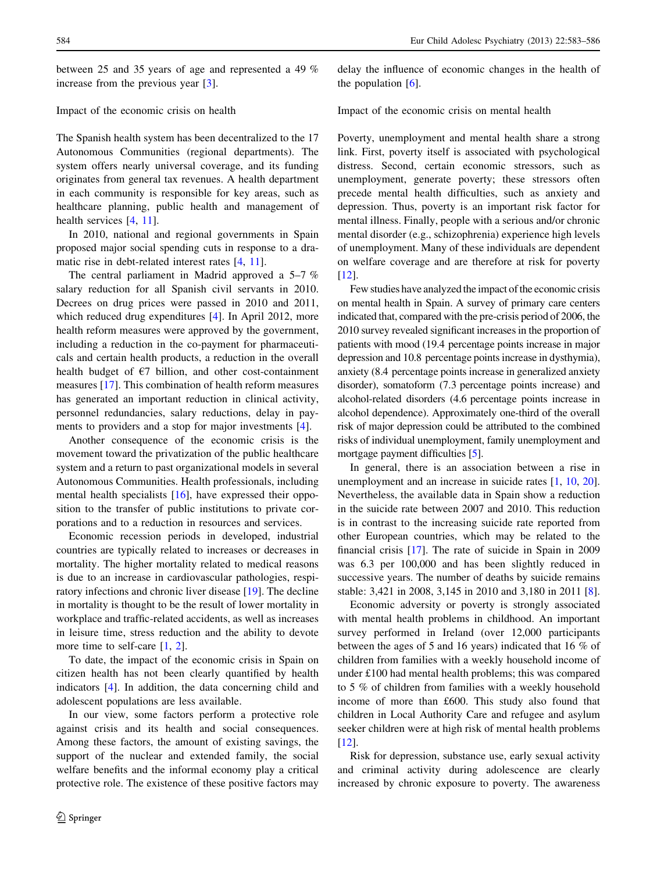between 25 and 35 years of age and represented a 49 % increase from the previous year [\[3](#page-2-0)].

#### Impact of the economic crisis on health

The Spanish health system has been decentralized to the 17 Autonomous Communities (regional departments). The system offers nearly universal coverage, and its funding originates from general tax revenues. A health department in each community is responsible for key areas, such as healthcare planning, public health and management of health services [[4,](#page-2-0) [11\]](#page-3-0).

In 2010, national and regional governments in Spain proposed major social spending cuts in response to a dra-matic rise in debt-related interest rates [\[4](#page-2-0), [11](#page-3-0)].

The central parliament in Madrid approved a 5–7 % salary reduction for all Spanish civil servants in 2010. Decrees on drug prices were passed in 2010 and 2011, which reduced drug expenditures [[4\]](#page-2-0). In April 2012, more health reform measures were approved by the government, including a reduction in the co-payment for pharmaceuticals and certain health products, a reduction in the overall health budget of  $\epsilon$ 7 billion, and other cost-containment measures [[17\]](#page-3-0). This combination of health reform measures has generated an important reduction in clinical activity, personnel redundancies, salary reductions, delay in payments to providers and a stop for major investments [\[4](#page-2-0)].

Another consequence of the economic crisis is the movement toward the privatization of the public healthcare system and a return to past organizational models in several Autonomous Communities. Health professionals, including mental health specialists [[16](#page-3-0)], have expressed their opposition to the transfer of public institutions to private corporations and to a reduction in resources and services.

Economic recession periods in developed, industrial countries are typically related to increases or decreases in mortality. The higher mortality related to medical reasons is due to an increase in cardiovascular pathologies, respiratory infections and chronic liver disease [[19\]](#page-3-0). The decline in mortality is thought to be the result of lower mortality in workplace and traffic-related accidents, as well as increases in leisure time, stress reduction and the ability to devote more time to self-care [\[1](#page-2-0), [2](#page-2-0)].

To date, the impact of the economic crisis in Spain on citizen health has not been clearly quantified by health indicators [[4\]](#page-2-0). In addition, the data concerning child and adolescent populations are less available.

In our view, some factors perform a protective role against crisis and its health and social consequences. Among these factors, the amount of existing savings, the support of the nuclear and extended family, the social welfare benefits and the informal economy play a critical protective role. The existence of these positive factors may delay the influence of economic changes in the health of the population  $[6]$  $[6]$ .

Impact of the economic crisis on mental health

Poverty, unemployment and mental health share a strong link. First, poverty itself is associated with psychological distress. Second, certain economic stressors, such as unemployment, generate poverty; these stressors often precede mental health difficulties, such as anxiety and depression. Thus, poverty is an important risk factor for mental illness. Finally, people with a serious and/or chronic mental disorder (e.g., schizophrenia) experience high levels of unemployment. Many of these individuals are dependent on welfare coverage and are therefore at risk for poverty [\[12](#page-3-0)].

Few studies have analyzed the impact of the economic crisis on mental health in Spain. A survey of primary care centers indicated that, compared with the pre-crisis period of 2006, the 2010 survey revealed significant increases in the proportion of patients with mood (19.4 percentage points increase in major depression and 10.8 percentage points increase in dysthymia), anxiety (8.4 percentage points increase in generalized anxiety disorder), somatoform (7.3 percentage points increase) and alcohol-related disorders (4.6 percentage points increase in alcohol dependence). Approximately one-third of the overall risk of major depression could be attributed to the combined risks of individual unemployment, family unemployment and mortgage payment difficulties [\[5\]](#page-2-0).

In general, there is an association between a rise in unemployment and an increase in suicide rates [\[1](#page-2-0), [10,](#page-3-0) [20](#page-3-0)]. Nevertheless, the available data in Spain show a reduction in the suicide rate between 2007 and 2010. This reduction is in contrast to the increasing suicide rate reported from other European countries, which may be related to the financial crisis [[17\]](#page-3-0). The rate of suicide in Spain in 2009 was 6.3 per 100,000 and has been slightly reduced in successive years. The number of deaths by suicide remains stable: 3,421 in 2008, 3,145 in 2010 and 3,180 in 2011 [\[8](#page-3-0)].

Economic adversity or poverty is strongly associated with mental health problems in childhood. An important survey performed in Ireland (over 12,000 participants between the ages of 5 and 16 years) indicated that 16 % of children from families with a weekly household income of under £100 had mental health problems; this was compared to 5 % of children from families with a weekly household income of more than £600. This study also found that children in Local Authority Care and refugee and asylum seeker children were at high risk of mental health problems [\[12](#page-3-0)].

Risk for depression, substance use, early sexual activity and criminal activity during adolescence are clearly increased by chronic exposure to poverty. The awareness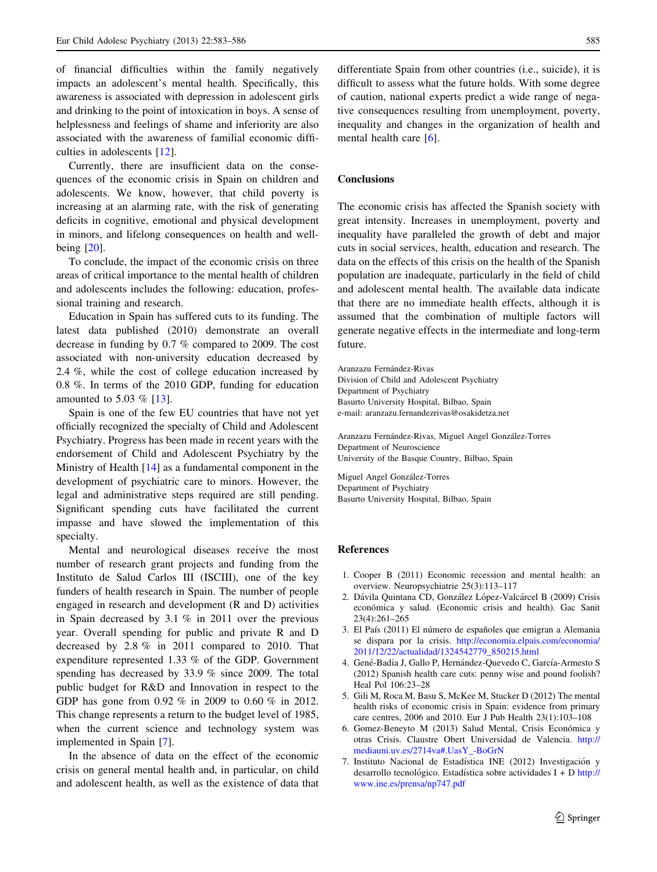<span id="page-2-0"></span>of financial difficulties within the family negatively impacts an adolescent's mental health. Specifically, this awareness is associated with depression in adolescent girls and drinking to the point of intoxication in boys. A sense of helplessness and feelings of shame and inferiority are also associated with the awareness of familial economic difficulties in adolescents [\[12](#page-3-0)].

Currently, there are insufficient data on the consequences of the economic crisis in Spain on children and adolescents. We know, however, that child poverty is increasing at an alarming rate, with the risk of generating deficits in cognitive, emotional and physical development in minors, and lifelong consequences on health and wellbeing [[20\]](#page-3-0).

To conclude, the impact of the economic crisis on three areas of critical importance to the mental health of children and adolescents includes the following: education, professional training and research.

Education in Spain has suffered cuts to its funding. The latest data published (2010) demonstrate an overall decrease in funding by 0.7 % compared to 2009. The cost associated with non-university education decreased by 2.4 %, while the cost of college education increased by 0.8 %. In terms of the 2010 GDP, funding for education amounted to 5.03 % [[13\]](#page-3-0).

Spain is one of the few EU countries that have not yet officially recognized the specialty of Child and Adolescent Psychiatry. Progress has been made in recent years with the endorsement of Child and Adolescent Psychiatry by the Ministry of Health [[14\]](#page-3-0) as a fundamental component in the development of psychiatric care to minors. However, the legal and administrative steps required are still pending. Significant spending cuts have facilitated the current impasse and have slowed the implementation of this specialty.

Mental and neurological diseases receive the most number of research grant projects and funding from the Instituto de Salud Carlos III (ISCIII), one of the key funders of health research in Spain. The number of people engaged in research and development (R and D) activities in Spain decreased by 3.1 % in 2011 over the previous year. Overall spending for public and private R and D decreased by 2.8 % in 2011 compared to 2010. That expenditure represented 1.33 % of the GDP. Government spending has decreased by 33.9 % since 2009. The total public budget for R&D and Innovation in respect to the GDP has gone from 0.92 % in 2009 to 0.60 % in 2012. This change represents a return to the budget level of 1985, when the current science and technology system was implemented in Spain [7].

In the absence of data on the effect of the economic crisis on general mental health and, in particular, on child and adolescent health, as well as the existence of data that differentiate Spain from other countries (i.e., suicide), it is difficult to assess what the future holds. With some degree of caution, national experts predict a wide range of negative consequences resulting from unemployment, poverty, inequality and changes in the organization of health and mental health care [6].

## Conclusions

The economic crisis has affected the Spanish society with great intensity. Increases in unemployment, poverty and inequality have paralleled the growth of debt and major cuts in social services, health, education and research. The data on the effects of this crisis on the health of the Spanish population are inadequate, particularly in the field of child and adolescent mental health. The available data indicate that there are no immediate health effects, although it is assumed that the combination of multiple factors will generate negative effects in the intermediate and long-term future.

Aranzazu Fernández-Rivas Division of Child and Adolescent Psychiatry Department of Psychiatry Basurto University Hospital, Bilbao, Spain e-mail: aranzazu.fernandezrivas@osakidetza.net

Aranzazu Fernández-Rivas, Miguel Angel González-Torres Department of Neuroscience University of the Basque Country, Bilbao, Spain

Miguel Angel González-Torres Department of Psychiatry Basurto University Hospital, Bilbao, Spain

#### References

- 1. Cooper B (2011) Economic recession and mental health: an overview. Neuropsychiatrie 25(3):113–117
- 2. Dávila Quintana CD, González López-Valcárcel B (2009) Crisis económica y salud. (Economic crisis and health). Gac Sanit 23(4):261–265
- 3. El País (2011) El número de españoles que emigran a Alemania se dispara por la crisis. [http://economia.elpais.com/economia/](http://economia.elpais.com/economia/2011/12/22/actualidad/1324542779_850215.html) [2011/12/22/actualidad/1324542779\\_850215.html](http://economia.elpais.com/economia/2011/12/22/actualidad/1324542779_850215.html)
- 4. Gené-Badia J, Gallo P, Hernández-Quevedo C, García-Armesto S (2012) Spanish health care cuts: penny wise and pound foolish? Heal Pol 106:23–28
- 5. Gili M, Roca M, Basu S, McKee M, Stucker D (2012) The mental health risks of economic crisis in Spain: evidence from primary care centres, 2006 and 2010. Eur J Pub Health 23(1):103–108
- 6. Gomez-Beneyto M (2013) Salud Mental, Crisis Económica y otras Crisis. Claustre Obert Universidad de Valencia. [http://](http://mediauni.uv.es/2714va#.UasY_-BoGrN) [mediauni.uv.es/2714va#.UasY\\_-BoGrN](http://mediauni.uv.es/2714va#.UasY_-BoGrN)
- 7. Instituto Nacional de Estadística INE (2012) Investigación y desarrollo tecnológico. Estadística sobre actividades  $I + D$  [http://](http://www.ine.es/prensa/np747.pdf) [www.ine.es/prensa/np747.pdf](http://www.ine.es/prensa/np747.pdf)